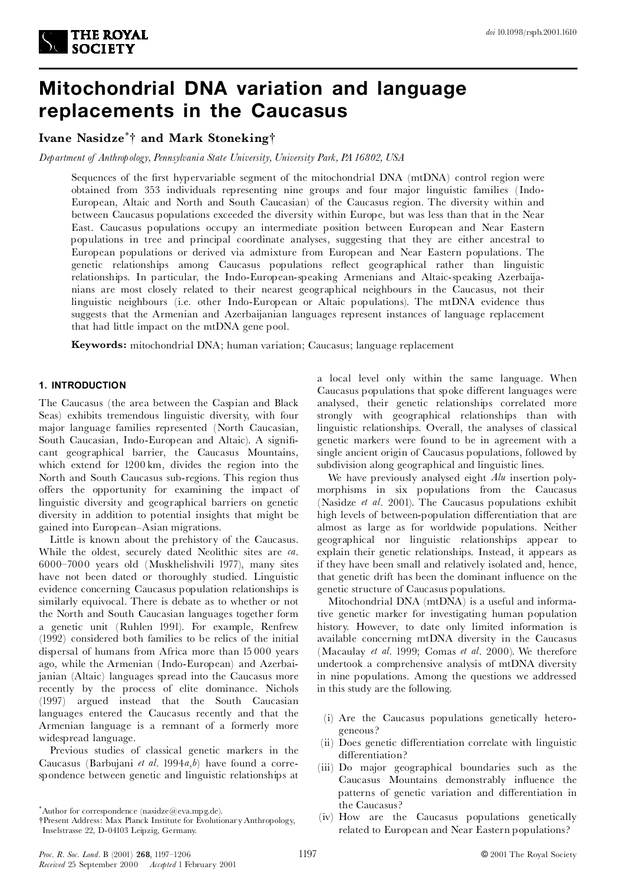

# **Mitochondrial DNA variation and language replacements in the Caucasus**

# **Ivane Nasidze** \*{ **and Mark Stoneking**{

*Department of Anthropology, Pennsylvania State University, University Park, PA 16802, USA*

Sequences of the first hypervariable segment of the mitochondrial DNA (mtDNA) control region were obtained from 353 individuals representing nine groups and four major linguistic families (Indo- European, Altaic and North and South Caucasian) of the Caucasus region. The diversity within and between Caucasus populations exceeded the diversity within Europe, but was less than that in the Near East. Caucasus populations occupy an intermediate position between European and Near Eastern populations in tree and principal coordinate analyses, suggesting that they are either ancestral to European populations or derived via admixture from European and Near Eastern populations. The genetic relationships among Caucasus populations reflect geographical rather than linguistic relationships. In particular, the Indo-European-speaking Armenians and Altaic-speaking Azerbaija nians are most closely related to their nearest geographical neighbours in the Caucasus, not their linguistic neighbours (i.e. other Indo-European or Altaic populations). The mtDNA evidence thus suggests that the Armenian and Azerbaijanian languages represent instances of language replacement that had little impact on the mtDNA gene pool.

**Keywords:** mitochondrial DNA; human variation; Caucasus; language replacement

# **1. INTRODUCTION**

The Caucasus (the area between the Caspian and Black Seas) exhibits tremendous linguistic diversity, with four major language families represented (North Caucasian, South Caucasian, Indo-European and Altaic). A significant geographical barrier, the Caucasus Mountains, which extend for 1200 km, divides the region into the North and South Caucasus sub-regions. This region thus offers the opportunity for examining the impact of linguistic diversity and geographical barriers on genetic diversity in addition to potential insights that might be gained into European^Asian migrations.

Little is known about the prehistory of the Caucasus. While the oldest, securely dated Neolithic sites are *ca*. 6000^7000 years old (Muskhelishvili 1977), many sites have not been dated or thoroughly studied. Linguistic evidence concerning Caucasus population relationships is similarly equivocal. There is debate as to whether or not the North and South Caucasian languages together form a genetic unit (Ruhlen 1991). For example, Renfrew (1992) considered both families to be relics of the initial dispersal of humans from Africa more than 15 000 years ago, while the Armenian (Indo-European) and Azerbaijanian (Altaic) languages spread into the Caucasus more recently by the process of elite dominance. Nichols (1997) argued instead that the South Caucasian languages entered the Caucasus recently and that the Armenian language is a remnant of a formerly more widespread language.

Previous studies of classical genetic markers in the Caucasus (Barbujani *et al*. 1994*a*,*b*) have found a correspondence between genetic and linguistic relationships at a local level only within the same language. When Caucasus populations that spoke different languages were analysed, their genetic relationships correlated more strongly with geographical relationships than with linguistic relationships. Overall, the analyses of classical genetic markers were found to be in agreement with a single ancient origin of Caucasus populations, followed by subdivision along geographical and linguistic lines.

We have previously analysed eight *Alu* insertion poly morphisms in six populations from the Caucasus (Nasidze *et al*. 2001). The Caucasus populations exhibit high levels of between-population differentiation that are almost as large as for worldwide populations. Neither geographical nor linguistic relationships appear to explain their genetic relationships. Instead, it appears as if they have been small and relatively isolated and, hence, that genetic drift has been the dominant influence on the genetic structure of Caucasus populations.

Mitochondrial DNA (mtDNA) is a useful and informative genetic marker for investigating human population history. However, to date only limited information is available concerning mtDNA diversity in the Caucasus (Macaulay *et al*. 1999; Comas *et al*. 2000). We therefore undertook a comprehensive analysis of mtDNA diversity in nine populations. Among the questions we addressed in this study are the following.

- (i) Are the Caucasus populations genetically hetero geneous?
- (ii) Does genetic differentiation correlate with linguistic differentiation?
- (iii) Do major geographical boundaries such as the Caucasus Mountains demonstrably influence the patterns of genetic variation and differentiation in the Caucasus?
- (iv) How are the Caucasus populations genetically related to European and Near Eastern populations?

<sup>\*</sup>Author for correspondence (nasidze@eva.mpg.de).

<sup>{</sup>Present Address: Max Planck Institute for Evolutionar y Anthropology, Inselstrasse 22, D-04103 Leipzig, Germany.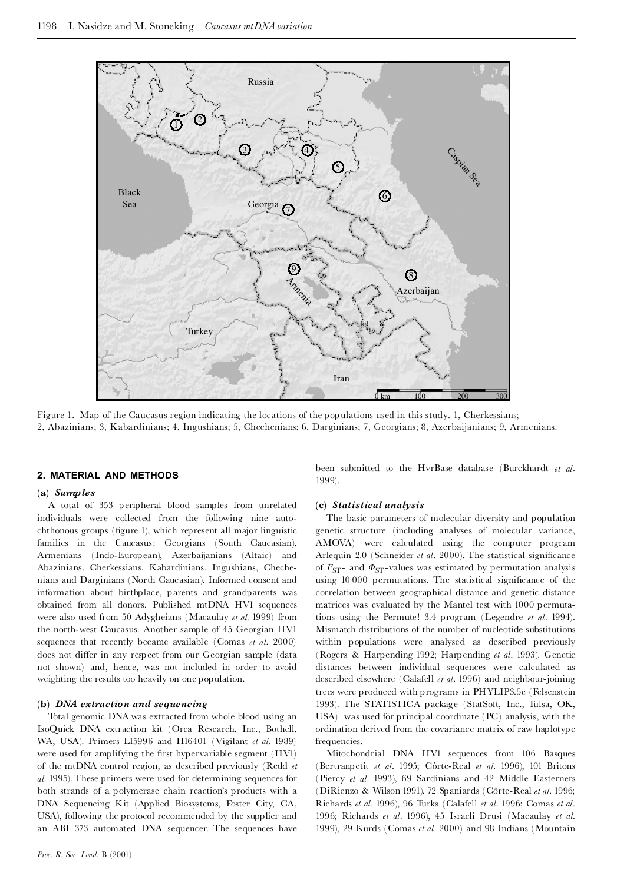

Figure 1. Map of the Caucasus region indicating the locations of the populations used in this study. 1, Cherkessians; 2, Abazinians; 3, Kabardinians; 4, Ingushians; 5, Chechenians; 6, Darginians; 7, Georgians; 8, Azerbaijanians; 9, Armenians.

#### **2. MATERIAL AND METHODS**

#### **(a)** *Samples*

A total of 353 peripheral blood samples from unrelated individuals were collected from the following nine auto chthonous groups (figure 1), which represent all major linguistic families in the Caucasus: Georgians (South Caucasian), Armenians (Indo-European), Azerbaijanians (Altaic) and Abazinians, Cherkessians, Kabardinians, Ingushians, Cheche nians and Darginians (North Caucasian). Informed consent and information about birthplace, parents and grandparents was obtained from all donors. Published mtDNA HV1 sequences were also used from 50 Adygheians (Macaulay *et al.* 1999) from the north-west Caucasus. Another sample of 45 Georgian HV1 sequences that recently became available (Comas *et al*. 2000) does not differ in any respect from our Georgian sample (data not shown) and, hence, was not included in order to avoid weighting the results too heavily on one population.

# **(b)** *DNA extraction and sequencing*

Total genomic DNA was extracted from whole blood using an IsoQuick DNA extraction kit (Orca Research, Inc., Bothell, WA, USA). Primers L15996 and H16401 (Vigilant *et al*. 1989) were used for amplifying the first hypervariable segment (HVI) of the mtDNA control region, as described previously (Redd *et al*. 1995). These primers were used for determining sequences for both strands of a polymerase chain reaction's products with a DNA Sequencing Kit (Applied Biosystems, Foster City, CA, USA), following the protocol recommended by the supplier and an ABI 373 automated DNA sequencer. The sequences have

been submitted to the HvrBase database (Burckhardt *et al*. 1999).

#### **(c)** *Statistical analysis*

The basic parameters of molecular diversity and population genetic structure (including analyses of molecular variance, AMOVA) were calculated using the computer program Arlequin 2.0 (Schneider *et al.* 2000). The statistical significance of  $F_{ST}$ - and  $\Phi_{ST}$ -values was estimated by permutation analysis using 10 000 permutations. The statistical significance of the correlation between geographical distance and genetic distance matrices was evaluated by the Mantel test with 1000 permutations using the Permute! 3.4 program (Legendre *et al*. 1994). Mismatch distributions of the number of nucleotide substitutions within populations were analysed as described previously (Rogers & Harpending 1992; Harpending *et al*. 1993). Genetic distances between individual sequences were calculated as described elsewhere (Calafell *et al*. 1996) and neighbour-joining trees were produced with programs in PHYLIP3.5c (Felsenstein 1993). The STATISTICA package (StatSoft, Inc., Tulsa, OK, USA) was used for principal coordinate (PC) analysis, with the ordination derived from the covariance matrix of raw haplotype frequencies.

Mitochondrial DNA HV1 sequences from 106 Basques (Bertranpetit *et al.* 1995; Côrte-Real *et al.* 1996), 101 Britons (Piercy *et al*. 1993), 69 Sardinians and 42 Middle Easterners (DiRienzo & Wilson 1991), 72 Spaniards (Côrte-Real et al. 1996; Richards *et al*. 1996), 96 Turks (Calafell *et al*. 1996; Comas *et al*. 1996; Richards *et al*. 1996), 45 Israeli Drusi (Macaulay *et al.* 1999), 29 Kurds (Comas *et al*. 2000) and 98 Indians (Mountain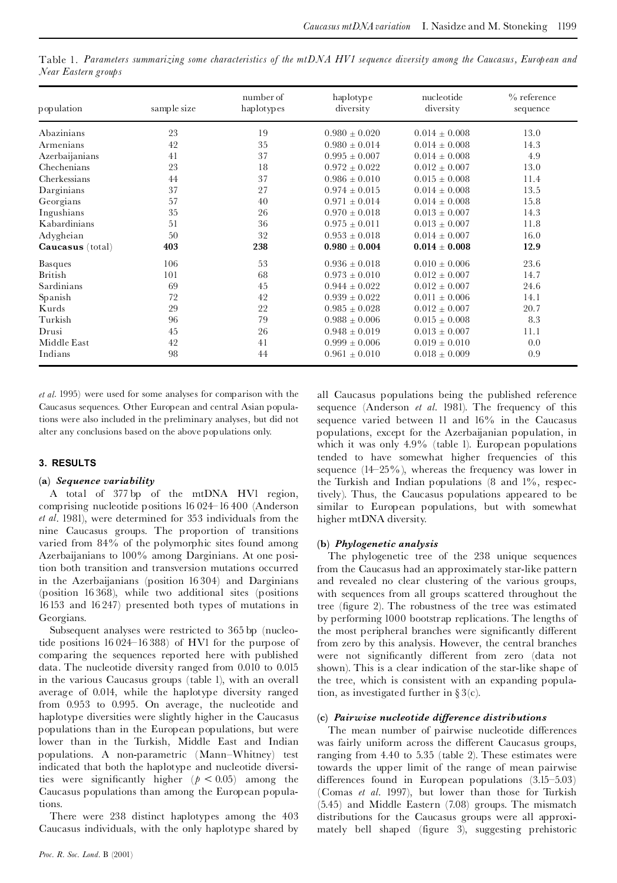Table 1. Parameters summarizing some characteristics of the mtDNA HV1 sequence diversity among the Caucasus, European and *Near Eastern groups*

| population       | sample size | number of<br>haplotypes | haplotype<br>diversity | nucleotide<br>diversity | $\%$ reference<br>sequence |
|------------------|-------------|-------------------------|------------------------|-------------------------|----------------------------|
| Abazinians       | 23          | 19                      | $0.980 \pm 0.020$      | $0.014 \pm 0.008$       | 13.0                       |
| Armenians        | 42          | 35                      | $0.980 \pm 0.014$      | $0.014 \pm 0.008$       | 14.3                       |
| Azerbaijanians   | 41          | 37                      | $0.995 \pm 0.007$      | $0.014 \pm 0.008$       | 4.9                        |
| Chechenians      | 23          | 18                      | $0.972 \pm 0.022$      | $0.012 \pm 0.007$       | 13.0                       |
| Cherkessians     | 44          | 37                      | $0.986 \pm 0.010$      | $0.015 \pm 0.008$       | 11.4                       |
| Darginians       | 37          | 27                      | $0.974 \pm 0.015$      | $0.014 \pm 0.008$       | 13.5                       |
| Georgians        | 57          | 40                      | $0.971 \pm 0.014$      | $0.014 \pm 0.008$       | 15.8                       |
| Ingushians       | 35          | 26                      | $0.970 \pm 0.018$      | $0.013 \pm 0.007$       | 14.3                       |
| Kabardinians     | 51          | 36                      | $0.975 \pm 0.011$      | $0.013\pm0.007$         | 11.8                       |
| Adygheian        | 50          | 32                      | $0.953 \pm 0.018$      | $0.014 \pm 0.007$       | 16.0                       |
| Caucasus (total) | 403         | 238                     | $0.980 \pm 0.004$      | $0.014 \pm 0.008$       | 12.9                       |
| Basques          | 106         | 53                      | $0.936 \pm 0.018$      | $0.010 \pm 0.006$       | 23.6                       |
| British          | 101         | 68                      | $0.973 + 0.010$        | $0.012 \pm 0.007$       | 14.7                       |
| Sardinians       | 69          | 45                      | $0.944 + 0.022$        | $0.012 \pm 0.007$       | 24.6                       |
| Spanish          | 72          | 42                      | $0.939 + 0.022$        | $0.011 \pm 0.006$       | 14.1                       |
| Kurds            | 29          | 22                      | $0.985 + 0.028$        | $0.012 \pm 0.007$       | 20.7                       |
| Turkish          | 96          | 79                      | $0.988 \pm 0.006$      | $0.015 \pm 0.008$       | 8.3                        |
| Drusi            | 45          | 26                      | $0.948 \pm 0.019$      | $0.013 \pm 0.007$       | 11.1                       |
| Middle East      | 42          | 41                      | $0.999 \pm 0.006$      | $0.019 \pm 0.010$       | 0.0                        |
| Indians          | 98          | 44                      | $0.961 \pm 0.010$      | $0.018 \pm 0.009$       | 0.9                        |

*et al*. 1995) were used for some analyses for comparison with the Caucasus sequences. Other European and central Asian populations were also included in the preliminary analyses, but did not alter any conclusions based on the above populations only.

# **3. RESULTS**

# **(a)** *Sequence variability*

A total of 377 bp of the mtDNA HV1 region, comprising nucleotide positions 16 024^16 400 (Anderson *et al*. 1981), were determined for 353 individuals from the nine Caucasus groups. The proportion of transitions varied from 84% of the polymorphic sites found among Azerbaijanians to 100% among Darginians. At one position both transition and transversion mutations occurred in the Azerbaijanians (position 16 304) and Darginians (position 16 368), while two additional sites (positions 16153 and 16 247) presented both types of mutations in Georgians.

Subsequent analyses were restricted to 365 bp (nucleotide positions 16 024^16 388) of HV1 for the purpose of comparing the sequences reported here with published data. The nucleotide diversity ranged from 0.010 to 0.015 in the various Caucasus groups (table 1), with an overall average of 0.014, while the haplotype diversity ranged from 0.953 to 0.995. On average, the nucleotide and haplotype diversities were slightly higher in the Caucasus populations than in the European populations, but were lower than in the Turkish, Middle East and Indian populations. A non-parametric (Mann^Whitney) test indicated that both the haplotype and nucleotide diversities were significantly higher  $(p < 0.05)$  among the Caucasus populations than among the European populations.

There were 238 distinct haplotypes among the 403 Caucasus individuals, with the only haplotype shared by

*Proc. R. Soc. Lond.* B (2001)

all Caucasus populations being the published reference sequence (Anderson *et al*. 1981). The frequency of this sequence varied between  $11$  and  $16\%$  in the Caucasus populations, except for the Azerbaijanian population, in which it was only 4.9% (table 1). European populations tended to have somewhat higher frequencies of this sequence  $(14-25\%)$ , whereas the frequency was lower in the Turkish and Indian populations (8 and 1%, respectively). Thus, the Caucasus populations appeared to be similar to European populations, but with somewhat higher mtDNA diversity.

# **(b)** *Phylogenetic analysis*

The phylogenetic tree of the 238 unique sequences from the Caucasus had an approximately star-like pattern and revealed no clear clustering of the various groups, with sequences from all groups scattered throughout the tree (figure 2). The robustness of the tree was estimated by performing 1000 bootstrap replications. The lengths of the most peripheral branches were significantly different from zero by this analysis. However, the central branches were not significantly different from zero (data not shown). This is a clear indication of the star-like shape of the tree, which is consistent with an expanding population, as investigated further in  $\S 3(c)$ .

# **(c)** *Pairwise nucleotide di¡erence distributions*

The mean number of pairwise nucleotide differences was fairly uniform across the different Caucasus groups, ranging from 4.40 to 5.35 (table 2). These estimates were towards the upper limit of the range of mean pairwise differences found in European populations  $(3.15-5.03)$ (Comas *et al*. 1997), but lower than those for Turkish (5.45) and Middle Eastern (7.08) groups. The mismatch distributions for the Caucasus groups were all approxi mately bell shaped (figure 3), suggesting prehistoric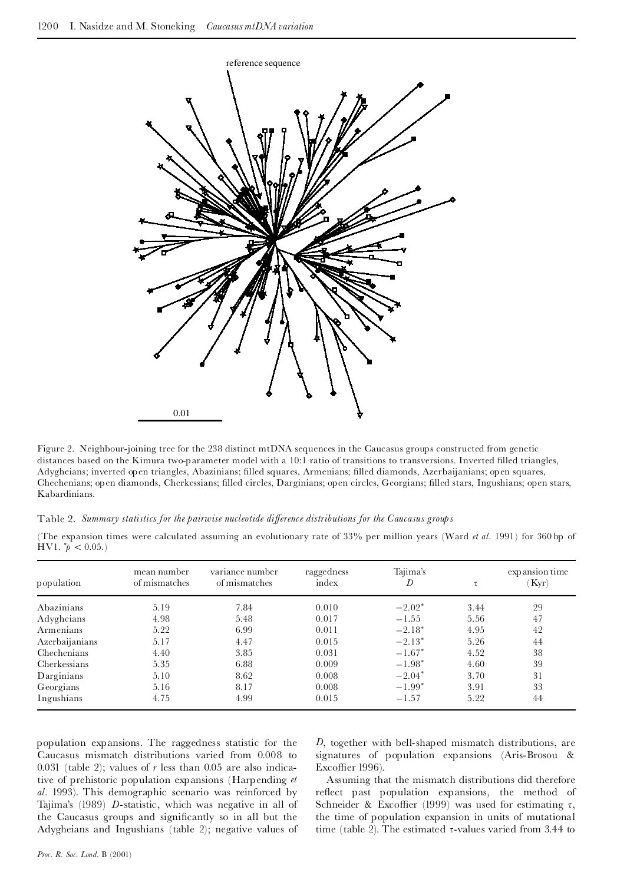

Figure 2. Neighbour-joining tree for the 238 distinct mtDNA sequences in the Caucasus groups constructed from genetic distances based on the Kimura two-parameter model with a 10:1 ratio of transitions to transversions. Inverted filled triangles, Adygheians; inverted open triangles, Abazinians; ¢lled squares, Armenians; ¢lled diamonds, Azerbaijanians; open squares, Chechenians; open diamonds, Cherkessians; ¢lled circles, Darginians; open circles, Georgians; ¢lled stars, Ingushians; open stars, Kabardinians.

Table 2. *Summary statistics for the pairwise nucleotide di¡erence distributions for the Caucasus groups*

(The expansion times were calculated assuming an evolutionary rate of 33% per million years (Ward *et al.* 1991) for 360 bp of HV1.  $p^*$  < 0.05.)

| population     | mean number<br>of mismatches | variance number<br>of mismatches | raggedness<br>index | Tajima's<br>D | τ    | expansion time<br>Kyr) |
|----------------|------------------------------|----------------------------------|---------------------|---------------|------|------------------------|
| Abazinians     | 5.19                         | 7.84                             | 0.010               | $-2.02*$      | 3.44 | 29                     |
| Adygheians     | 4.98                         | 5.48                             | 0.017               | $-1.55$       | 5.56 | 47                     |
| Armenians      | 5.22                         | 6.99                             | 0.011               | $-2.18*$      | 4.95 | 42                     |
| Azerbaijanians | 5.17                         | 4.47                             | 0.015               | $-2.13*$      | 5.26 | 44                     |
| Chechenians    | 4.40                         | 3.85                             | 0.031               | $-1.67*$      | 4.52 | 38                     |
| Cherkessians   | 5.35                         | 6.88                             | 0.009               | $-1.98*$      | 4.60 | 39                     |
| Darginians     | 5.10                         | 8.62                             | 0.008               | $-2.04*$      | 3.70 | 31                     |
| Georgians      | 5.16                         | 8.17                             | 0.008               | $-1.99*$      | 3.91 | 33                     |
| Ingushians     | 4.75                         | 4.99                             | 0.015               | $-1.57$       | 5.22 | 44                     |

population expansions. The raggedness statistic for the Caucasus mismatch distributions varied from 0.008 to 0.031 (table 2); values of  $r$  less than 0.05 are also indicative of prehistoric population expansions (Harpending *et al*. 1993). This demographic scenario was reinforced by Tajima's (1989) *D*-statistic, which was negative in all of the Caucasus groups and significantly so in all but the Adygheians and Ingushians (table 2); negative values of *D*, together with bell-shaped mismatch distributions, are signatures of population expansions (Aris-Brosou & Excoffier 1996).

Assuming that the mismatch distributions did therefore reflect past population expansions, the method of Schneider & Excoffier (1999) was used for estimating  $\tau$ , the time of population expansion in units of mutational time (table 2). The estimated  $\tau$ -values varied from 3.44 to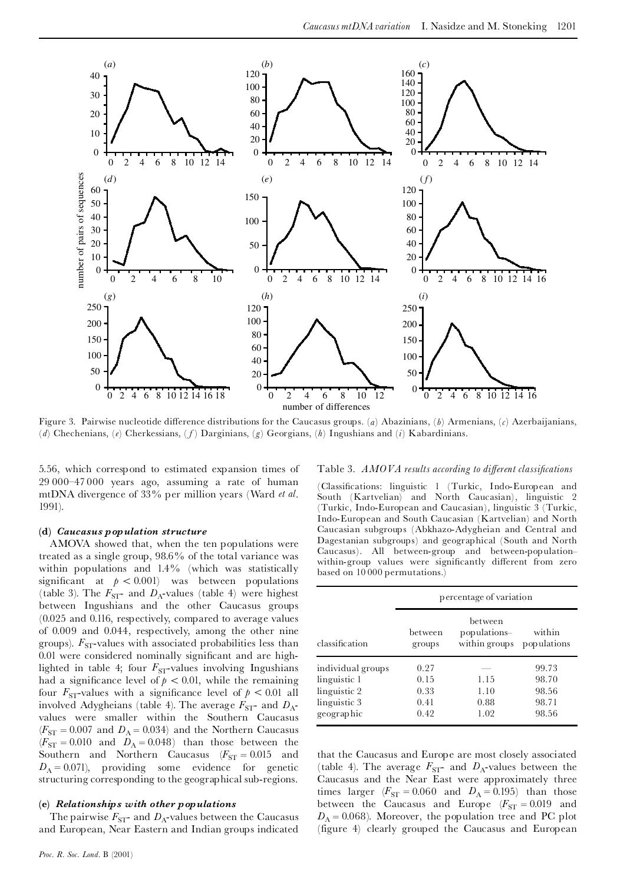

Figure 3. Pairwise nucleotide difference distributions for the Caucasus groups. (a) Abazinians, (b) Armenians, (c) Azerbaijanians, (*d*) Chechenians, (*e*) Cherkessians, ( *f*) Darginians, (*g*) Georgians, (*h*) Ingushians and (*i*) Kabardinians.

5.56, which correspond to estimated expansion times of  $29\,000-47\,000$  years ago, assuming a rate of human mtDNA divergence of 33% per million years (Ward *et al*. 1991).

#### **(d)** *Caucasus population structure*

AMOVA showed that, when the ten populations were treated as a single group, 98.6% of the total variance was within populations and 1.4% (which was statistically significant at  $p < 0.001$ ) was between populations (table 3). The  $F_{ST}$ - and  $D_A$ -values (table 4) were highest between Ingushians and the other Caucasus groups (0.025 and 0.116, respectively, compared to average values of 0.009 and 0.044, respectively, among the other nine groups).  $F_{ST}$ -values with associated probabilities less than 0.01 were considered nominally significant and are highlighted in table 4; four  $F_{ST}$ -values involving Ingushians had a significance level of  $p < 0.01$ , while the remaining four  $F_{ST}$ -values with a significance level of  $p < 0.01$  all involved Adygheians (table 4). The average  $F_{ST}$ - and  $D_A$ values were smaller within the Southern Caucasus  $(F_{ST} = 0.007$  and  $D_A = 0.034$ ) and the Northern Caucasus  $(F_{ST} = 0.010$  and  $D_A = 0.048$ ) than those between the Southern and Northern Caucasus  $(F_{ST} = 0.015$  and  $D_A = 0.071$ , providing some evidence for genetic structuring corresponding to the geographical sub-regions.

#### **(e)** *Relationships with other populations*

The pairwise  $F_{ST}$ - and  $D_A$ -values between the Caucasus and European, Near Eastern and Indian groups indicated

#### Table 3. *AMOVA results according to di¡erent classi¢cations*

(Classi¢cations: linguistic 1 (Turkic, Indo-European and South (Kartvelian) and North Caucasian), linguistic 2 (Turkic, Indo-European and Caucasian), linguistic 3 (Turkic, Indo-European and South Caucasian (Kartvelian) and North Caucasian subgroups (Abkhazo-Adygheian and Central and Dagestanian subgroups) and geographical (South and North Caucasus). All between-group and between-population-within-group values were significantly different from zero based on 10 000 permutations.)

|                   |                   | percentage of variation                  |                       |
|-------------------|-------------------|------------------------------------------|-----------------------|
| classification    | between<br>groups | between<br>populations-<br>within groups | within<br>populations |
| individual groups | 0.27              |                                          | 99.73                 |
| linguistic 1      | 0.15              | 1.15                                     | 98.70                 |
| linguistic 2      | 0.33              | 1.10                                     | 98.56                 |
| linguistic 3      | 0.41              | 0.88                                     | 98.71                 |
| geographic        | 0.42              | 1.02                                     | 98.56                 |

that the Caucasus and Europe are most closely associated (table 4). The average  $F_{ST}$ - and  $D_A$ -values between the Caucasus and the Near East were approximately three times larger ( $F_{ST} = 0.060$  and  $D_A = 0.195$ ) than those between the Caucasus and Europe ( $F_{ST} = 0.019$  and  $D_A = 0.068$ ). Moreover, the population tree and PC plot (figure 4) clearly grouped the Caucasus and European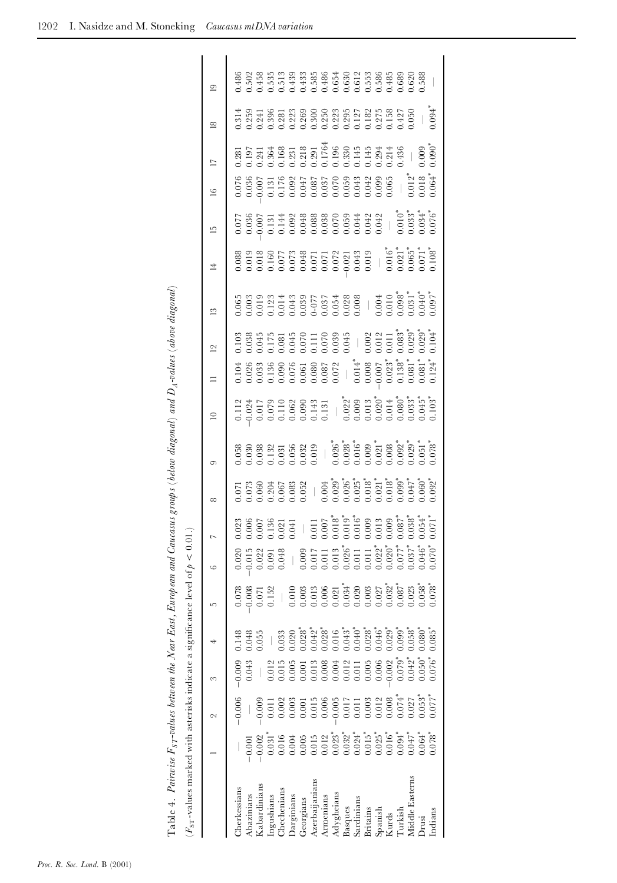| ( $F_{\rm ST}$ -values marked with asterisks indicate a significance level of $p < 0.01$ .) |                                                                                                                                                                                                                                                                                                                                                                                                                                                                |                                                                                                                                                                                                                                                                    |                                                                                                               |                      |                                                        |                                           |                                                                                                                                                                                                                                                                              |          |         |             |          |                |              |       |                                                                                                                                                                                                                                                                                                     |                         |                                                                                                                                                                                                                                                                                                             |           |                |
|---------------------------------------------------------------------------------------------|----------------------------------------------------------------------------------------------------------------------------------------------------------------------------------------------------------------------------------------------------------------------------------------------------------------------------------------------------------------------------------------------------------------------------------------------------------------|--------------------------------------------------------------------------------------------------------------------------------------------------------------------------------------------------------------------------------------------------------------------|---------------------------------------------------------------------------------------------------------------|----------------------|--------------------------------------------------------|-------------------------------------------|------------------------------------------------------------------------------------------------------------------------------------------------------------------------------------------------------------------------------------------------------------------------------|----------|---------|-------------|----------|----------------|--------------|-------|-----------------------------------------------------------------------------------------------------------------------------------------------------------------------------------------------------------------------------------------------------------------------------------------------------|-------------------------|-------------------------------------------------------------------------------------------------------------------------------------------------------------------------------------------------------------------------------------------------------------------------------------------------------------|-----------|----------------|
|                                                                                             |                                                                                                                                                                                                                                                                                                                                                                                                                                                                | 2                                                                                                                                                                                                                                                                  | S                                                                                                             | 4                    | L                                                      | $\circ$                                   |                                                                                                                                                                                                                                                                              | $\infty$ | $\circ$ | $\supseteq$ | $\equiv$ | $\overline{2}$ | $\mathbb{S}$ | $\pm$ | $\overline{1}$                                                                                                                                                                                                                                                                                      | $\Box$<br>$\frac{6}{2}$ |                                                                                                                                                                                                                                                                                                             | $\approx$ | $\overline{a}$ |
| Cherkessians                                                                                |                                                                                                                                                                                                                                                                                                                                                                                                                                                                | $-0.006$                                                                                                                                                                                                                                                           | $-0.009$                                                                                                      | 0.148                | 0.078                                                  | 0.020                                     |                                                                                                                                                                                                                                                                              |          |         |             |          |                |              |       |                                                                                                                                                                                                                                                                                                     |                         |                                                                                                                                                                                                                                                                                                             |           | 0.486          |
| Abazinians                                                                                  | 0.001                                                                                                                                                                                                                                                                                                                                                                                                                                                          |                                                                                                                                                                                                                                                                    | 0.043                                                                                                         | 0.048                |                                                        |                                           |                                                                                                                                                                                                                                                                              |          |         |             |          |                |              |       |                                                                                                                                                                                                                                                                                                     |                         |                                                                                                                                                                                                                                                                                                             |           |                |
| Kabardinians                                                                                | $-0.002$                                                                                                                                                                                                                                                                                                                                                                                                                                                       |                                                                                                                                                                                                                                                                    |                                                                                                               | 0.55                 | $\begin{array}{c} 0.008 \\ 0.071 \\ 0.152 \end{array}$ | $-0.015$<br>$0.022$<br>$0.091$<br>$0.048$ | $\begin{array}{cccccccccc} 0.023 & 0.006 & 0.007 & 0.007 & 0.007 & 0.007 & 0.007 & 0.007 & 0.007 & 0.007 & 0.007 & 0.007 & 0.007 & 0.007 & 0.007 & 0.007 & 0.007 & 0.007 & 0.007 & 0.007 & 0.007 & 0.007 & 0.007 & 0.007 & 0.007 & 0.007 & 0.007 & 0.007 & 0.007 & 0.007 & $ |          |         |             |          |                |              |       | $\begin{array}{r} 7.7686 \\ 0.0366 \\ 0.000 \\ 0.000 \\ 0.000 \\ 0.000 \\ 0.000 \\ 0.000 \\ 0.000 \\ 0.000 \\ 0.000 \\ 0.000 \\ 0.000 \\ 0.000 \\ 0.000 \\ 0.000 \\ 0.000 \\ 0.000 \\ 0.000 \\ 0.000 \\ 0.000 \\ 0.000 \\ 0.000 \\ 0.000 \\ 0.000 \\ 0.000 \\ 0.000 \\ 0.000 \\ 0.000 \\ 0.000 \\ $ |                         | $\begin{array}{l} 0.281 \\ 0.197 \\ 0.197 \\ 0.364 \\ 0.68 \\ 0.198 \\ 0.01 \\ 0.021 \\ 0.031 \\ 0.01 \\ 0.01 \\ 0.01 \\ 0.01 \\ 0.01 \\ 0.01 \\ 0.01 \\ 0.01 \\ 0.01 \\ 0.01 \\ 0.01 \\ 0.01 \\ 0.01 \\ 0.01 \\ 0.01 \\ 0.01 \\ 0.01 \\ 0.01 \\ 0.01 \\ 0.01 \\ 0.01 \\ 0.01 \\ 0.01 \\ 0.01 \\ 0.01 \\ 0$ |           |                |
| Ingushians                                                                                  | $\begin{array}{l} \mathbf{1} \\ \mathbf{0} \\ \mathbf{1} \\ \mathbf{0} \\ \mathbf{0} \\ \mathbf{1} \\ \mathbf{0} \\ \mathbf{0} \\ \mathbf{1} \\ \mathbf{0} \\ \mathbf{1} \\ \mathbf{1} \\ \mathbf{0} \\ \mathbf{1} \\ \mathbf{1} \\ \mathbf{1} \\ \mathbf{1} \\ \mathbf{1} \\ \mathbf{1} \\ \mathbf{1} \\ \mathbf{1} \\ \mathbf{1} \\ \mathbf{1} \\ \mathbf{1} \\ \mathbf{1} \\ \mathbf{1} \\ \mathbf{1} \\ \mathbf{1} \\ \mathbf{1} \\ \mathbf{1} \\ \mathbf$ | $\begin{array}{l} 0.0000\\ -0.00000\\ 0.00000\\ -0.00000\\ 0.00000\\ 0.00000\\ -0.00000\\ 0.00000\\ -0.00000\\ 0.00000\\ 0.00000\\ 0.00000\\ 0.00000\\ 0.00000\\ 0.00000\\ 0.00000\\ 0.00000\\ 0.00000\\ 0.00000\\ 0.00000\\ 0.00000\\ 0.00000\\ 0.00000\\ 0.0000$ | 0.012                                                                                                         |                      |                                                        |                                           |                                                                                                                                                                                                                                                                              |          |         |             |          |                |              |       |                                                                                                                                                                                                                                                                                                     |                         |                                                                                                                                                                                                                                                                                                             |           |                |
| Chechenians                                                                                 |                                                                                                                                                                                                                                                                                                                                                                                                                                                                |                                                                                                                                                                                                                                                                    | 0.015                                                                                                         | 0.33                 |                                                        |                                           |                                                                                                                                                                                                                                                                              |          |         |             |          |                |              |       |                                                                                                                                                                                                                                                                                                     |                         |                                                                                                                                                                                                                                                                                                             |           |                |
| Darginians                                                                                  |                                                                                                                                                                                                                                                                                                                                                                                                                                                                |                                                                                                                                                                                                                                                                    | 0.005                                                                                                         |                      |                                                        |                                           |                                                                                                                                                                                                                                                                              |          |         |             |          |                |              |       |                                                                                                                                                                                                                                                                                                     |                         |                                                                                                                                                                                                                                                                                                             |           |                |
| Georgians                                                                                   |                                                                                                                                                                                                                                                                                                                                                                                                                                                                |                                                                                                                                                                                                                                                                    |                                                                                                               |                      |                                                        |                                           |                                                                                                                                                                                                                                                                              |          |         |             |          |                |              |       |                                                                                                                                                                                                                                                                                                     |                         |                                                                                                                                                                                                                                                                                                             |           |                |
| Azerbaijanians                                                                              |                                                                                                                                                                                                                                                                                                                                                                                                                                                                |                                                                                                                                                                                                                                                                    |                                                                                                               |                      |                                                        |                                           |                                                                                                                                                                                                                                                                              |          |         |             |          |                |              |       |                                                                                                                                                                                                                                                                                                     |                         |                                                                                                                                                                                                                                                                                                             |           |                |
| Armenians                                                                                   |                                                                                                                                                                                                                                                                                                                                                                                                                                                                |                                                                                                                                                                                                                                                                    |                                                                                                               |                      |                                                        |                                           |                                                                                                                                                                                                                                                                              |          |         |             |          |                |              |       |                                                                                                                                                                                                                                                                                                     |                         |                                                                                                                                                                                                                                                                                                             |           |                |
| Adygheians                                                                                  |                                                                                                                                                                                                                                                                                                                                                                                                                                                                |                                                                                                                                                                                                                                                                    | $\begin{array}{r} 0.001 \\ 0.013 \\ 0.008 \\ 0.004 \\ 0.012 \\ 0.011 \\ 0.005 \\ 0.006 \\ -0.002 \end{array}$ |                      |                                                        |                                           |                                                                                                                                                                                                                                                                              |          |         |             |          |                |              |       |                                                                                                                                                                                                                                                                                                     |                         |                                                                                                                                                                                                                                                                                                             |           |                |
| Basques                                                                                     |                                                                                                                                                                                                                                                                                                                                                                                                                                                                |                                                                                                                                                                                                                                                                    |                                                                                                               |                      |                                                        |                                           |                                                                                                                                                                                                                                                                              |          |         |             |          |                |              |       |                                                                                                                                                                                                                                                                                                     |                         |                                                                                                                                                                                                                                                                                                             |           |                |
| Sardinians                                                                                  |                                                                                                                                                                                                                                                                                                                                                                                                                                                                |                                                                                                                                                                                                                                                                    |                                                                                                               |                      |                                                        |                                           |                                                                                                                                                                                                                                                                              |          |         |             |          |                |              |       |                                                                                                                                                                                                                                                                                                     |                         |                                                                                                                                                                                                                                                                                                             |           |                |
| Britains                                                                                    |                                                                                                                                                                                                                                                                                                                                                                                                                                                                |                                                                                                                                                                                                                                                                    |                                                                                                               |                      |                                                        |                                           |                                                                                                                                                                                                                                                                              |          |         |             |          |                |              |       |                                                                                                                                                                                                                                                                                                     |                         |                                                                                                                                                                                                                                                                                                             |           |                |
| Spanish                                                                                     |                                                                                                                                                                                                                                                                                                                                                                                                                                                                |                                                                                                                                                                                                                                                                    |                                                                                                               |                      |                                                        |                                           |                                                                                                                                                                                                                                                                              |          |         |             |          |                |              |       |                                                                                                                                                                                                                                                                                                     |                         |                                                                                                                                                                                                                                                                                                             |           |                |
| Kurds                                                                                       |                                                                                                                                                                                                                                                                                                                                                                                                                                                                |                                                                                                                                                                                                                                                                    |                                                                                                               |                      |                                                        |                                           |                                                                                                                                                                                                                                                                              |          |         |             |          |                |              |       |                                                                                                                                                                                                                                                                                                     |                         |                                                                                                                                                                                                                                                                                                             |           |                |
| Turkish                                                                                     |                                                                                                                                                                                                                                                                                                                                                                                                                                                                |                                                                                                                                                                                                                                                                    | $0.079*$                                                                                                      |                      |                                                        |                                           |                                                                                                                                                                                                                                                                              |          |         |             |          |                |              |       |                                                                                                                                                                                                                                                                                                     |                         |                                                                                                                                                                                                                                                                                                             |           |                |
| Middle Easterns                                                                             |                                                                                                                                                                                                                                                                                                                                                                                                                                                                |                                                                                                                                                                                                                                                                    | $0.042*$                                                                                                      | $0.058$ <sup>*</sup> |                                                        |                                           |                                                                                                                                                                                                                                                                              |          |         |             |          |                |              |       |                                                                                                                                                                                                                                                                                                     |                         |                                                                                                                                                                                                                                                                                                             |           |                |
| Drusi                                                                                       |                                                                                                                                                                                                                                                                                                                                                                                                                                                                |                                                                                                                                                                                                                                                                    | $0.050*$                                                                                                      | $0.080^{*}_{0.085}$  |                                                        |                                           |                                                                                                                                                                                                                                                                              |          |         |             |          |                |              |       |                                                                                                                                                                                                                                                                                                     |                         | 0.009                                                                                                                                                                                                                                                                                                       |           |                |
| Indians                                                                                     |                                                                                                                                                                                                                                                                                                                                                                                                                                                                |                                                                                                                                                                                                                                                                    | $0.076*$                                                                                                      |                      |                                                        |                                           |                                                                                                                                                                                                                                                                              |          |         |             |          |                |              |       |                                                                                                                                                                                                                                                                                                     |                         | $0.090^*$                                                                                                                                                                                                                                                                                                   | 1.094     |                |
|                                                                                             |                                                                                                                                                                                                                                                                                                                                                                                                                                                                |                                                                                                                                                                                                                                                                    |                                                                                                               |                      |                                                        |                                           |                                                                                                                                                                                                                                                                              |          |         |             |          |                |              |       |                                                                                                                                                                                                                                                                                                     |                         |                                                                                                                                                                                                                                                                                                             |           |                |

| $\frac{1}{2}$ | i<br>Soo<br>ة.<br>و<br>اب<br>موجبہ ہے<br>d with asteri<br>mark<br>i<br>1 |
|---------------|--------------------------------------------------------------------------|
| l             | $(F_{ST}$ -va<br>$\overline{\phantom{a}}$<br>ŗ                           |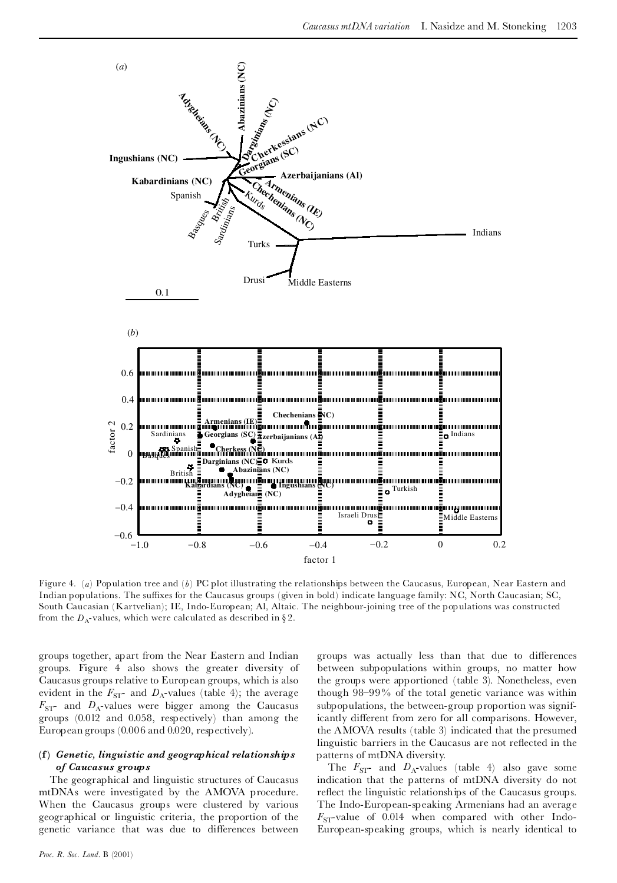

Figure 4. (*a*) Population tree and (*b*) PC plot illustrating the relationships between the Caucasus, European, Near Eastern and Indian populations. The suffixes for the Caucasus groups (given in bold) indicate language family: NC, North Caucasian; SC, South Caucasian (Kartvelian); IE, Indo-European; Al, Altaic. The neighbour-joining tree of the populations was constructed from the  $D_A$ -values, which were calculated as described in §2.

groups together, apart from the Near Eastern and Indian groups. Figure 4 also shows the greater diversity of Caucasus groups relative to European groups, which is also evident in the  $F_{ST}$ - and  $D_A$ -values (table 4); the average  $F_{ST}$ - and  $D_A$ -values were bigger among the Caucasus groups (0.012 and 0.058, respectively) than among the European groups (0.006 and 0.020, respectively).

# **(f)** *Genetic, linguistic and geographical relationships of Caucasus groups*

The geographical and linguistic structures of Caucasus mtDNAs were investigated by the AMOVA procedure. When the Caucasus groups were clustered by various geographical or linguistic criteria, the proportion of the genetic variance that was due to differences between groups was actually less than that due to differences between subpopulations within groups, no matter how the groups were apportioned (table 3). Nonetheless, even though  $98-99\%$  of the total genetic variance was within subpopulations, the between-group proportion was significantly different from zero for all comparisons. However, the AMOVA results (table 3) indicated that the presumed linguistic barriers in the Caucasus are not reflected in the patterns of mtDNA diversity.

The  $F_{ST}$ - and  $D_A$ -values (table 4) also gave some indication that the patterns of mtDNA diversity do not reflect the linguistic relationships of the Caucasus groups. The Indo-European-speaking Armenians had an average  $F<sub>ST</sub>$ -value of 0.014 when compared with other Indo-European-speaking groups, which is nearly identical to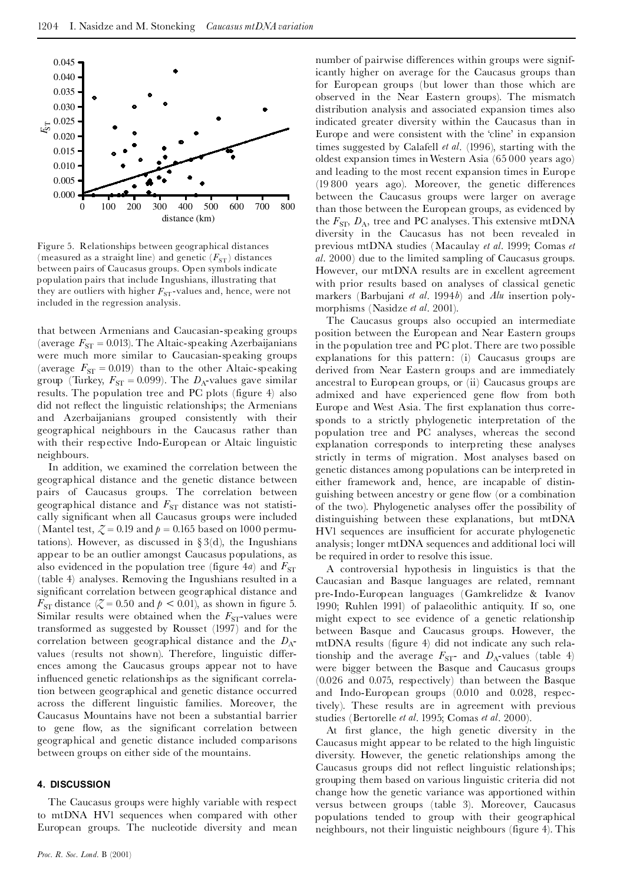

Figure 5. Relationships between geographical distances (measured as a straight line) and genetic  $(F_{ST})$  distances between pairs of Caucasus groups. Open symbols indicate population pairs that include Ingushians, illustrating that they are outliers with higher  $F_{ST}$ -values and, hence, were not included in the regression analysis.

that between Armenians and Caucasian-speaking groups (average  $F_{ST} = 0.013$ ). The Altaic-speaking Azerbaijanians were much more similar to Caucasian-speaking groups (average  $F_{ST} = 0.019$ ) than to the other Altaic-speaking group (Turkey,  $F_{ST} = 0.099$ ). The  $D_A$ -values gave similar results. The population tree and PC plots (figure 4) also did not reflect the linguistic relationships; the Armenians and Azerbaijanians grouped consistently with their geographical neighbours in the Caucasus rather than with their respective Indo-European or Altaic linguistic neighbours.

In addition, we examined the correlation between the geographical distance and the genetic distance between pairs of Caucasus groups. The correlation between geographical distance and  $F_{ST}$  distance was not statistically significant when all Caucasus groups were included (Mantel test,  $\zeta = 0.19$  and  $p = 0.165$  based on 1000 permutations). However, as discussed in  $\S 3(d)$ , the Ingushians appear to be an outlier amongst Caucasus populations, as also evidenced in the population tree (figure  $4a$ ) and  $F_{ST}$ (table 4) analyses. Removing the Ingushians resulted in a significant correlation between geographical distance and  $F_{ST}$  distance  $\zeta = 0.50$  and  $p < 0.01$ , as shown in figure 5. Similar results were obtained when the  $F_{ST}$ -values were transformed as suggested by Rousset (1997) and for the correlation between geographical distance and the  $D_{A}$ values (results not shown). Therefore, linguistic differences among the Caucasus groups appear not to have influenced genetic relationships as the significant correlation between geographical and genetic distance occurred across the different linguistic families. Moreover, the Caucasus Mountains have not been a substantial barrier to gene flow, as the significant correlation between geographical and genetic distance included comparisons between groups on either side of the mountains.

#### **4. DISCUSSION**

The Caucasus groups were highly variable with respect to mtDNA HV1 sequences when compared with other European groups. The nucleotide diversity and mean number of pairwise differences within groups were significantly higher on average for the Caucasus groups than for European groups (but lower than those which are observed in the Near Eastern groups). The mismatch distribution analysis and associated expansion times also indicated greater diversity within the Caucasus than in Europe and were consistent with the `cline' in expansion times suggested by Calafell *et al*. (1996), starting with the oldest expansion times inWestern Asia (65 000 years ago) and leading to the most recent expansion times in Europe  $(19 800 \text{ years } a\text{go})$ . Moreover, the genetic differences between the Caucasus groups were larger on average than those between the European groups, as evidenced by the  $F_{\rm ST}$ ,  $D_{\rm A}$ , tree and PC analyses. This extensive mtDNA diversity in the Caucasus has not been revealed in previous mtDNA studies (Macaulay *et al*. 1999; Comas *et al*. 2000) due to the limited sampling of Caucasus groups. However, our mtDNA results are in excellent agreement with prior results based on analyses of classical genetic markers (Barbujani *et al*. 1994*b*) and *Alu* insertion poly morphisms (Nasidze *et al*. 2001).

The Caucasus groups also occupied an intermediate position between the European and Near Eastern groups in the population tree and PC plot. There are two possible explanations for this pattern: (i) Caucasus groups are derived from Near Eastern groups and are immediately ancestral to European groups, or (ii) Caucasus groups are admixed and have experienced gene flow from both Europe and West Asia. The first explanation thus corresponds to a strictly phylogenetic interpretation of the population tree and PC analyses, whereas the second explanation corresponds to interpreting these analyses strictly in terms of migration. Most analyses based on genetic distances among populations can be interpreted in either framework and, hence, are incapable of distin guishing between ancestry or gene flow (or a combination of the two). Phylogenetic analyses offer the possibility of distinguishing between these explanations, but mtDNA HV1 sequences are insufficient for accurate phylogenetic analysis; longer mtDNA sequences and additional loci will be required in order to resolve this issue.

A controversial hypothesis in linguistics is that the Caucasian and Basque languages are related, remnant pre-Indo-European languages (Gamkrelidze & Ivanov 1990; Ruhlen 1991) of palaeolithic antiquity. If so, one might expect to see evidence of a genetic relationship between Basque and Caucasus groups. However, the mtDNA results (figure 4) did not indicate any such relationship and the average  $F_{ST}$ - and  $D_A$ -values (table 4) were bigger between the Basque and Caucasus groups (0.026 and 0.075, respectively) than between the Basque and Indo-European groups (0.010 and 0.028, respectively). These results are in agreement with previous studies (Bertorelle *et al*. 1995; Comas *et al*. 2000).

At first glance, the high genetic diversity in the Caucasus might appear to be related to the high linguistic diversity. However, the genetic relationships among the Caucasus groups did not reflect linguistic relationships; grouping them based on various linguistic criteria did not change how the genetic variance was apportioned within versus between groups (table 3). Moreover, Caucasus populations tended to group with their geographical neighbours, not their linguistic neighbours (figure 4). This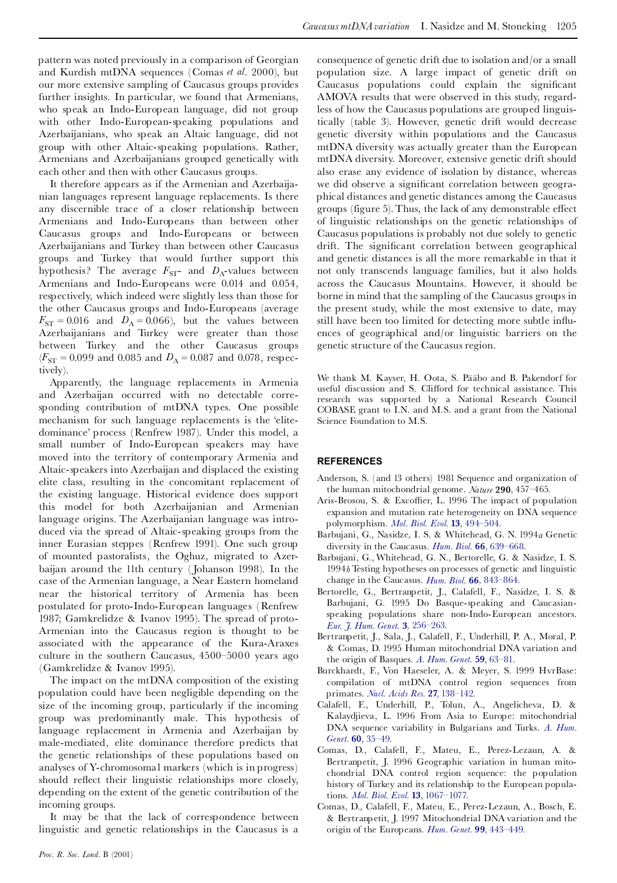pattern was noted previously in a comparison of Georgian and Kurdish mtDNA sequences (Comas *et al*. 2000), but our more extensive sampling of Caucasus groups provides further insights. In particular, we found that Armenians, who speak an Indo-European language, did not group with other Indo-European-speaking populations and Azerbaijanians, who speak an Altaic language, did not group with other Altaic-speaking populations. Rather, Armenians and Azerbaijanians grouped genetically with each other and then with other Caucasus groups.

It therefore appears as if the Armenian and Azerbaija nian languages represent language replacements. Is there any discernible trace of a closer relationship between Armenians and Indo-Europeans than between other Caucasus groups and Indo-Europeans or between Azerbaijanians and Turkey than between other Caucasus groups and Turkey that would further support this hypothesis? The average  $F_{ST}$ - and  $D_A$ -values between Armenians and Indo-Europeans were 0.014 and 0.054, respectively, which indeed were slightly less than those for the other Caucasus groups and Indo-Europeans (average  $F_{ST} = 0.016$  and  $D_A = 0.066$ ), but the values between Azerbaijanians and Turkey were greater than those between Turkey and the other Caucasus groups  $(F_{ST} = 0.099$  and 0.085 and  $D_A = 0.087$  and 0.078, respectively).

Apparently, the language replacements in Armenia and Azerbaijan occurred with no detectable corresponding contribution of mtDNA types. One possible mechanism for such language replacements is the `elite dominance' process (Renfrew 1987). Under this model, a small number of Indo-European speakers may have moved into the territory of contemporary Armenia and Altaic-speakers into Azerbaijan and displaced the existing elite class, resulting in the concomitant replacement of the existing language. Historical evidence does support this model for both Azerbaijanian and Armenian language origins. The Azerbaijanian language was intro duced via the spread of Altaic-speaking groups from the inner Eurasian steppes (Renfrew 1991). One such group of mounted pastoralists, the Oghuz, migrated to Azer baijan around the 11th century ( Johanson 1998). In the case of the Armenian language, a Near Eastern homeland near the historical territory of Armenia has been postulated for proto-Indo-European languages (Renfrew 1987; Gamkrelidze & Ivanov 1995). The spread of proto- Armenian into the Caucasus region is thought to be associated with the appearance of the Kura-Araxes culture in the southern Caucasus,  $4500-5000$  years ago (Gamkrelidze & Ivanov 1995).

The impact on the mtDNA composition of the existing population could have been negligible depending on the size of the incoming group, particularly if the incoming group was predominantly male. This hypothesis of language replacement in Armenia and Azerbaijan by male-mediated, elite dominance therefore predicts that the genetic relationships of these populations based on analyses of Y-chromosomal markers (which is in progress) should reflect their linguistic relationships more closely, depending on the extent of the genetic contribution of the incoming groups.

It may be that the lack of correspondence between linguistic and genetic relationships in the Caucasus is a

consequence of genetic drift due to isolation and/or a small population size. A large impact of genetic drift on Caucasus populations could explain the significant AMOVA results that were observed in this study, regardless of how the Caucasus populations are grouped linguistically (table 3). However, genetic drift would decrease genetic diversity within populations and the Caucasus mtDNA diversity was actually greater than the European mtDNA diversity. Moreover, extensive genetic drift should also erase any evidence of isolation by distance, whereas we did observe a significant correlation between geographical distances and genetic distances among the Caucasus groups (figure 5). Thus, the lack of any demonstrable effect of linguistic relationships on the genetic relationships of Caucasus populations is probably not due solely to genetic drift. The significant correlation between geographical and genetic distances is all the more remarkable in that it not only transcends language families, but it also holds across the Caucasus Mountains. However, it should be borne in mind that the sampling of the Caucasus groups in the present study, while the most extensive to date, may still have been too limited for detecting more subtle influences of geographical and/or linguistic barriers on the genetic structure of the Caucasus region.

We thank M. Kayser, H. Oota, S. Pääbo and B. Pakendorf for useful discussion and S. Clifford for technical assistance. This research was supported by a National Research Council COBASE grant to I.N. and M.S. and a grant from the National Science Foundation to M.S.

#### **REFERENCES**

- Anderson, S. (and 13 others) 1981 Sequence and organization of the human mitochondrial genome. *Nature* **290**, 457^465.
- Aris-Brosou, S. & Excoffier, L. 1996 The impact of population expansion and mutation rate heterogeneity on DNA sequence polymorphism. *Mol. Biol. Evol.* **13**, [494^504.](http://matilde.catchword.com/nw=1/rpsv/cgi-bin/linker?ext=a&reqidx=/0737-4038^28^2913L.494[aid=864862])
- Barbujani, G., Nasidze, I. S. & Whitehead, G. N. 1994*a* Genetic diversity in the Caucasus. *Hum. Biol.* **66**, [639^668.](http://matilde.catchword.com/nw=1/rpsv/cgi-bin/linker?ext=a&reqidx=/0018-7143^28^2966L.639[aid=706467])
- Barbujani, G., Whitehead, G. N., Bertorelle, G. & Nasidze, I. S. 1994*b* Testing hypotheses on processes of genetic and linguistic change in the Caucasus. *Hum. Biol.* **66**, [843^864.](http://matilde.catchword.com/nw=1/rpsv/cgi-bin/linker?ext=a&reqidx=/0018-7143^28^2966L.843[aid=1182870])
- Bertorelle, G., Bertranpetit, J., Calafell, F., Nasidze, I. S. & Barbujani, G. 1995 Do Basque-speaking and Caucasianspeaking populations share non-Indo-European ancestors. *Eur. J. Hum. Genet.* **3**, [256^263.](http://matilde.catchword.com/nw=1/rpsv/cgi-bin/linker?ext=a&reqidx=/1018-4813^28^293L.256[aid=1182875])
- Bertranpetit, J., Sala, J., Calafell, F., Underhill, P. A., Moral, P. & Comas, D. 1995 Human mitochondrial DNA variation and the origin of Basques. *A. Hum. Genet.* **59**, [63^81.](http://matilde.catchword.com/nw=1/rpsv/cgi-bin/linker?ext=a&reqidx=/0003-4800^28^2959L.63[aid=1182871])
- Burckhardt, F., Von Haeseler, A. & Meyer, S. 1999 HvrBase: compilation of mtDNA control region sequences from primates. *Nucl. Acids Res.* **27**, [138^142.](http://matilde.catchword.com/nw=1/rpsv/cgi-bin/linker?ext=a&reqidx=/0305-1048^28^2927L.138[aid=1182872])
- Calafell, F., Underhill, P., Tolun, A., Angelicheva, D. & Kalaydjieva, L. 1996 From Asia to Europe: mitochondrial DNA sequence variability in Bulgarians and Turks. *A. [Hum.](http://matilde.catchword.com/nw=1/rpsv/cgi-bin/linker?ext=a&reqidx=/0003-4800^28^2960L.35[aid=1182873]) Genet.* **60**, [35^49.](http://matilde.catchword.com/nw=1/rpsv/cgi-bin/linker?ext=a&reqidx=/0003-4800^28^2960L.35[aid=1182873])
- Comas, D., Calafell, F., Mateu, E., Perez-Lezaun, A. & Bertranpetit, J. 1996 Geographic variation in human mito chondrial DNA control region sequence: the population history of Turkey and its relationship to the European populations. *Mol. Biol. Evol.* **13**, [1067^1077.](http://matilde.catchword.com/nw=1/rpsv/cgi-bin/linker?ext=a&reqidx=/0737-4038^28^2913L.1067[aid=1182876])
- Comas, D., Calafell, F., Mateu, E., Perez-Lezaun, A., Bosch, E. & Bertranpetit, J. 1997 Mitochondrial DNA variation and the origin of the Europeans. *Hum. Genet.* **99**, [443^449.](http://matilde.catchword.com/nw=1/rpsv/cgi-bin/linker?ext=a&reqidx=/0340-6717^28^2999L.443[aid=1182874])